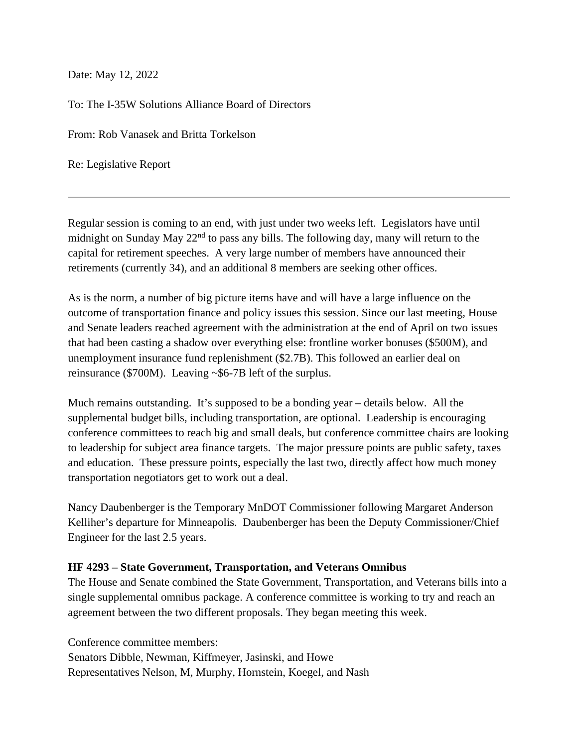Date: May 12, 2022

To: The I-35W Solutions Alliance Board of Directors

From: Rob Vanasek and Britta Torkelson

Re: Legislative Report

Regular session is coming to an end, with just under two weeks left. Legislators have until midnight on Sunday May  $22<sup>nd</sup>$  to pass any bills. The following day, many will return to the capital for retirement speeches. A very large number of members have announced their retirements (currently 34), and an additional 8 members are seeking other offices.

As is the norm, a number of big picture items have and will have a large influence on the outcome of transportation finance and policy issues this session. Since our last meeting, House and Senate leaders reached agreement with the administration at the end of April on two issues that had been casting a shadow over everything else: frontline worker bonuses (\$500M), and unemployment insurance fund replenishment (\$2.7B). This followed an earlier deal on reinsurance (\$700M). Leaving ~\$6-7B left of the surplus.

Much remains outstanding. It's supposed to be a bonding year – details below. All the supplemental budget bills, including transportation, are optional. Leadership is encouraging conference committees to reach big and small deals, but conference committee chairs are looking to leadership for subject area finance targets. The major pressure points are public safety, taxes and education. These pressure points, especially the last two, directly affect how much money transportation negotiators get to work out a deal.

Nancy Daubenberger is the Temporary MnDOT Commissioner following Margaret Anderson Kelliher's departure for Minneapolis. Daubenberger has been the Deputy Commissioner/Chief Engineer for the last 2.5 years.

## **HF 4293 – State Government, Transportation, and Veterans Omnibus**

The House and Senate combined the State Government, Transportation, and Veterans bills into a single supplemental omnibus package. A conference committee is working to try and reach an agreement between the two different proposals. They began meeting this week.

Conference committee members: Senators Dibble, Newman, Kiffmeyer, Jasinski, and Howe Representatives Nelson, M, Murphy, Hornstein, Koegel, and Nash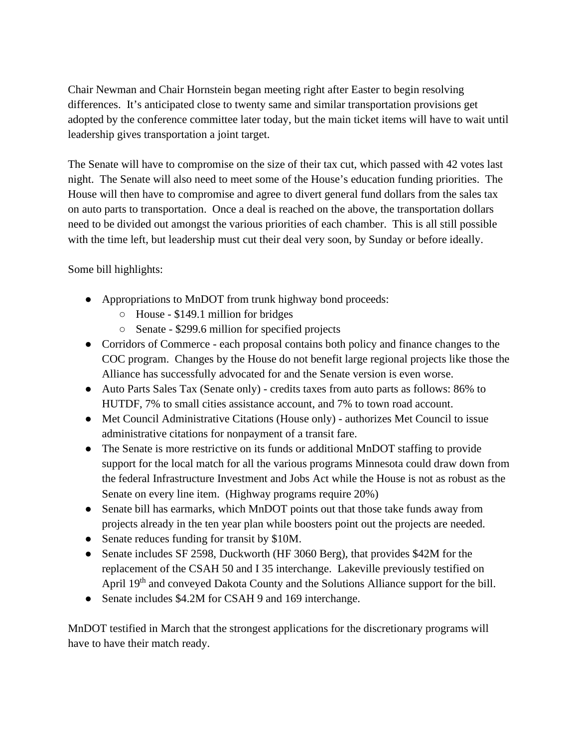Chair Newman and Chair Hornstein began meeting right after Easter to begin resolving differences. It's anticipated close to twenty same and similar transportation provisions get adopted by the conference committee later today, but the main ticket items will have to wait until leadership gives transportation a joint target.

The Senate will have to compromise on the size of their tax cut, which passed with 42 votes last night. The Senate will also need to meet some of the House's education funding priorities. The House will then have to compromise and agree to divert general fund dollars from the sales tax on auto parts to transportation. Once a deal is reached on the above, the transportation dollars need to be divided out amongst the various priorities of each chamber. This is all still possible with the time left, but leadership must cut their deal very soon, by Sunday or before ideally.

Some bill highlights:

- Appropriations to MnDOT from trunk highway bond proceeds:
	- House \$149.1 million for bridges
	- Senate \$299.6 million for specified projects
- Corridors of Commerce each proposal contains both policy and finance changes to the COC program. Changes by the House do not benefit large regional projects like those the Alliance has successfully advocated for and the Senate version is even worse.
- Auto Parts Sales Tax (Senate only) credits taxes from auto parts as follows: 86% to HUTDF, 7% to small cities assistance account, and 7% to town road account.
- Met Council Administrative Citations (House only) authorizes Met Council to issue administrative citations for nonpayment of a transit fare.
- The Senate is more restrictive on its funds or additional MnDOT staffing to provide support for the local match for all the various programs Minnesota could draw down from the federal Infrastructure Investment and Jobs Act while the House is not as robust as the Senate on every line item. (Highway programs require 20%)
- Senate bill has earmarks, which MnDOT points out that those take funds away from projects already in the ten year plan while boosters point out the projects are needed.
- Senate reduces funding for transit by \$10M.
- Senate includes SF 2598, Duckworth (HF 3060 Berg), that provides \$42M for the replacement of the CSAH 50 and I 35 interchange. Lakeville previously testified on April 19<sup>th</sup> and conveyed Dakota County and the Solutions Alliance support for the bill.
- Senate includes \$4.2M for CSAH 9 and 169 interchange.

MnDOT testified in March that the strongest applications for the discretionary programs will have to have their match ready.